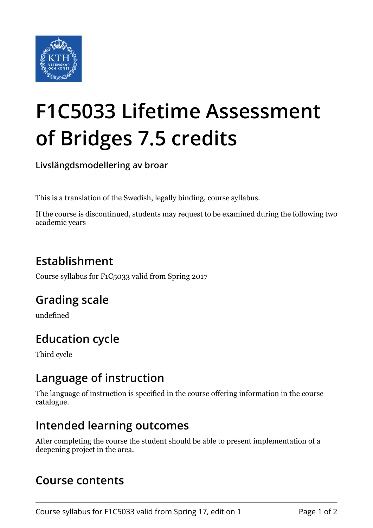

# **F1C5033 Lifetime Assessment of Bridges 7.5 credits**

**Livslängdsmodellering av broar**

This is a translation of the Swedish, legally binding, course syllabus.

If the course is discontinued, students may request to be examined during the following two academic years

# **Establishment**

Course syllabus for F1C5033 valid from Spring 2017

## **Grading scale**

undefined

## **Education cycle**

Third cycle

#### **Language of instruction**

The language of instruction is specified in the course offering information in the course catalogue.

#### **Intended learning outcomes**

After completing the course the student should be able to present implementation of a deepening project in the area.

#### **Course contents**